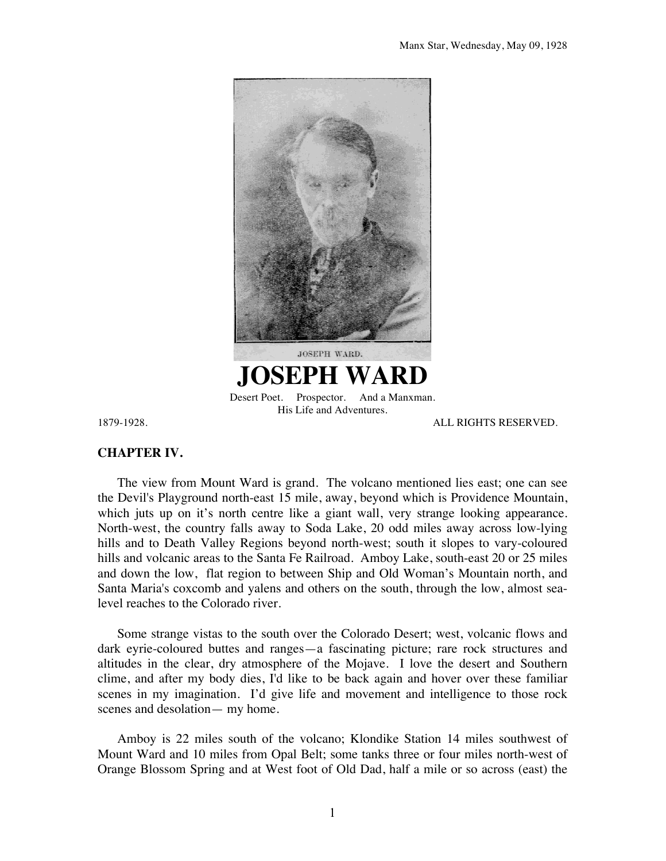

## **CHAPTER IV.**

The view from Mount Ward is grand. The volcano mentioned lies east; one can see the Devil's Playground north-east 15 mile, away, beyond which is Providence Mountain, which juts up on it's north centre like a giant wall, very strange looking appearance. North-west, the country falls away to Soda Lake, 20 odd miles away across low-lying hills and to Death Valley Regions beyond north-west; south it slopes to vary-coloured hills and volcanic areas to the Santa Fe Railroad. Amboy Lake, south-east 20 or 25 miles and down the low, flat region to between Ship and Old Woman's Mountain north, and Santa Maria's coxcomb and yalens and others on the south, through the low, almost sealevel reaches to the Colorado river.

Some strange vistas to the south over the Colorado Desert; west, volcanic flows and dark eyrie-coloured buttes and ranges—a fascinating picture; rare rock structures and altitudes in the clear, dry atmosphere of the Mojave. I love the desert and Southern clime, and after my body dies, I'd like to be back again and hover over these familiar scenes in my imagination. I'd give life and movement and intelligence to those rock scenes and desolation— my home.

Amboy is 22 miles south of the volcano; Klondike Station 14 miles southwest of Mount Ward and 10 miles from Opal Belt; some tanks three or four miles north-west of Orange Blossom Spring and at West foot of Old Dad, half a mile or so across (east) the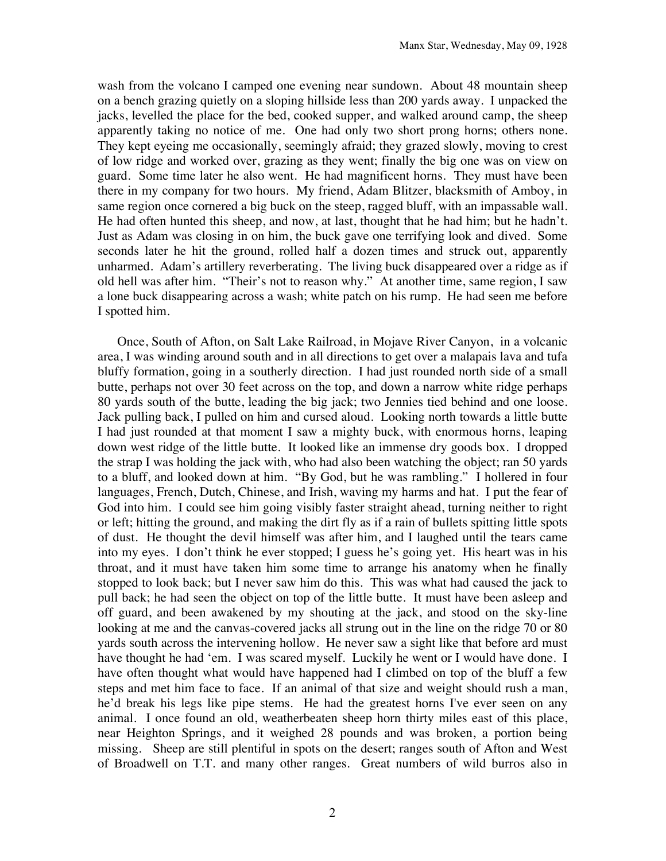wash from the volcano I camped one evening near sundown. About 48 mountain sheep on a bench grazing quietly on a sloping hillside less than 200 yards away. I unpacked the jacks, levelled the place for the bed, cooked supper, and walked around camp, the sheep apparently taking no notice of me. One had only two short prong horns; others none. They kept eyeing me occasionally, seemingly afraid; they grazed slowly, moving to crest of low ridge and worked over, grazing as they went; finally the big one was on view on guard. Some time later he also went. He had magnificent horns. They must have been there in my company for two hours. My friend, Adam Blitzer, blacksmith of Amboy, in same region once cornered a big buck on the steep, ragged bluff, with an impassable wall. He had often hunted this sheep, and now, at last, thought that he had him; but he hadn't. Just as Adam was closing in on him, the buck gave one terrifying look and dived. Some seconds later he hit the ground, rolled half a dozen times and struck out, apparently unharmed. Adam's artillery reverberating. The living buck disappeared over a ridge as if old hell was after him. "Their's not to reason why." At another time, same region, I saw a lone buck disappearing across a wash; white patch on his rump. He had seen me before I spotted him.

Once, South of Afton, on Salt Lake Railroad, in Mojave River Canyon, in a volcanic area, I was winding around south and in all directions to get over a malapais lava and tufa bluffy formation, going in a southerly direction. I had just rounded north side of a small butte, perhaps not over 30 feet across on the top, and down a narrow white ridge perhaps 80 yards south of the butte, leading the big jack; two Jennies tied behind and one loose. Jack pulling back, I pulled on him and cursed aloud. Looking north towards a little butte I had just rounded at that moment I saw a mighty buck, with enormous horns, leaping down west ridge of the little butte. It looked like an immense dry goods box. I dropped the strap I was holding the jack with, who had also been watching the object; ran 50 yards to a bluff, and looked down at him. "By God, but he was rambling." I hollered in four languages, French, Dutch, Chinese, and Irish, waving my harms and hat. I put the fear of God into him. I could see him going visibly faster straight ahead, turning neither to right or left; hitting the ground, and making the dirt fly as if a rain of bullets spitting little spots of dust. He thought the devil himself was after him, and I laughed until the tears came into my eyes. I don't think he ever stopped; I guess he's going yet. His heart was in his throat, and it must have taken him some time to arrange his anatomy when he finally stopped to look back; but I never saw him do this. This was what had caused the jack to pull back; he had seen the object on top of the little butte. It must have been asleep and off guard, and been awakened by my shouting at the jack, and stood on the sky-line looking at me and the canvas-covered jacks all strung out in the line on the ridge 70 or 80 yards south across the intervening hollow. He never saw a sight like that before ard must have thought he had 'em. I was scared myself. Luckily he went or I would have done. I have often thought what would have happened had I climbed on top of the bluff a few steps and met him face to face. If an animal of that size and weight should rush a man, he'd break his legs like pipe stems. He had the greatest horns I've ever seen on any animal. I once found an old, weatherbeaten sheep horn thirty miles east of this place, near Heighton Springs, and it weighed 28 pounds and was broken, a portion being missing. Sheep are still plentiful in spots on the desert; ranges south of Afton and West of Broadwell on T.T. and many other ranges. Great numbers of wild burros also in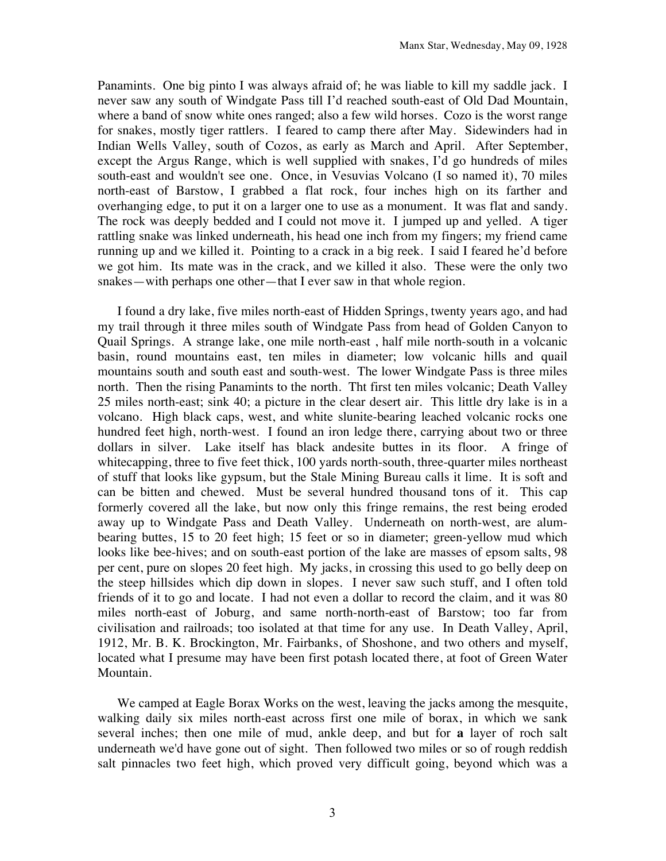Panamints. One big pinto I was always afraid of; he was liable to kill my saddle jack. I never saw any south of Windgate Pass till I'd reached south-east of Old Dad Mountain, where a band of snow white ones ranged; also a few wild horses. Cozo is the worst range for snakes, mostly tiger rattlers. I feared to camp there after May. Sidewinders had in Indian Wells Valley, south of Cozos, as early as March and April. After September, except the Argus Range, which is well supplied with snakes, I'd go hundreds of miles south-east and wouldn't see one. Once, in Vesuvias Volcano (I so named it), 70 miles north-east of Barstow, I grabbed a flat rock, four inches high on its farther and overhanging edge, to put it on a larger one to use as a monument. It was flat and sandy. The rock was deeply bedded and I could not move it. I jumped up and yelled. A tiger rattling snake was linked underneath, his head one inch from my fingers; my friend came running up and we killed it. Pointing to a crack in a big reek. I said I feared he'd before we got him. Its mate was in the crack, and we killed it also. These were the only two snakes—with perhaps one other—that I ever saw in that whole region.

I found a dry lake, five miles north-east of Hidden Springs, twenty years ago, and had my trail through it three miles south of Windgate Pass from head of Golden Canyon to Quail Springs. A strange lake, one mile north-east , half mile north-south in a volcanic basin, round mountains east, ten miles in diameter; low volcanic hills and quail mountains south and south east and south-west. The lower Windgate Pass is three miles north. Then the rising Panamints to the north. Tht first ten miles volcanic; Death Valley 25 miles north-east; sink 40; a picture in the clear desert air. This little dry lake is in a volcano. High black caps, west, and white slunite-bearing leached volcanic rocks one hundred feet high, north-west. I found an iron ledge there, carrying about two or three dollars in silver. Lake itself has black andesite buttes in its floor. A fringe of whitecapping, three to five feet thick, 100 yards north-south, three-quarter miles northeast of stuff that looks like gypsum, but the Stale Mining Bureau calls it lime. It is soft and can be bitten and chewed. Must be several hundred thousand tons of it. This cap formerly covered all the lake, but now only this fringe remains, the rest being eroded away up to Windgate Pass and Death Valley. Underneath on north-west, are alumbearing buttes, 15 to 20 feet high; 15 feet or so in diameter; green-yellow mud which looks like bee-hives; and on south-east portion of the lake are masses of epsom salts, 98 per cent, pure on slopes 20 feet high. My jacks, in crossing this used to go belly deep on the steep hillsides which dip down in slopes. I never saw such stuff, and I often told friends of it to go and locate. I had not even a dollar to record the claim, and it was 80 miles north-east of Joburg, and same north-north-east of Barstow; too far from civilisation and railroads; too isolated at that time for any use. In Death Valley, April, 1912, Mr. B. K. Brockington, Mr. Fairbanks, of Shoshone, and two others and myself, located what I presume may have been first potash located there, at foot of Green Water Mountain.

We camped at Eagle Borax Works on the west, leaving the jacks among the mesquite, walking daily six miles north-east across first one mile of borax, in which we sank several inches; then one mile of mud, ankle deep, and but for **a** layer of roch salt underneath we'd have gone out of sight. Then followed two miles or so of rough reddish salt pinnacles two feet high, which proved very difficult going, beyond which was a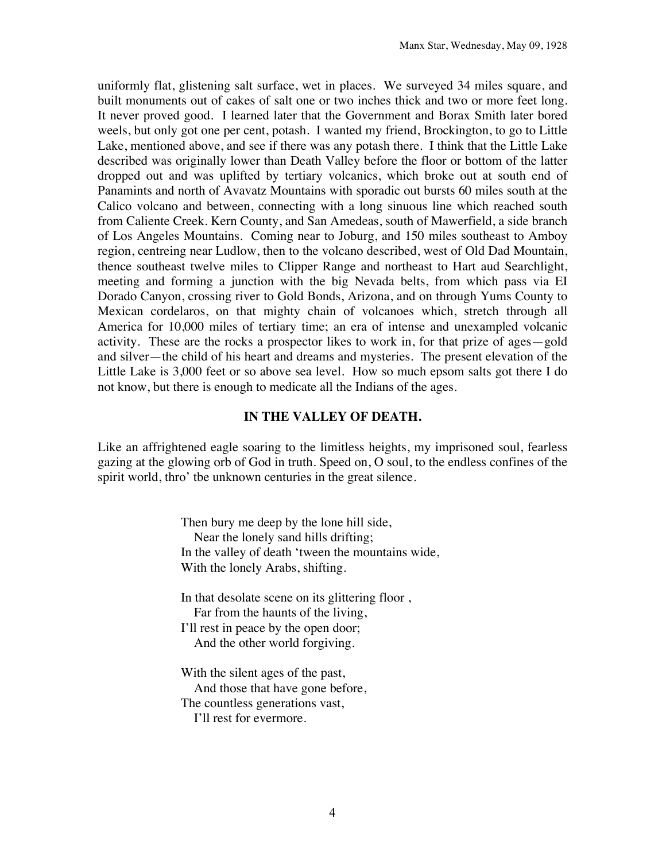uniformly flat, glistening salt surface, wet in places. We surveyed 34 miles square, and built monuments out of cakes of salt one or two inches thick and two or more feet long. It never proved good. I learned later that the Government and Borax Smith later bored weels, but only got one per cent, potash. I wanted my friend, Brockington, to go to Little Lake, mentioned above, and see if there was any potash there. I think that the Little Lake described was originally lower than Death Valley before the floor or bottom of the latter dropped out and was uplifted by tertiary volcanics, which broke out at south end of Panamints and north of Avavatz Mountains with sporadic out bursts 60 miles south at the Calico volcano and between, connecting with a long sinuous line which reached south from Caliente Creek. Kern County, and San Amedeas, south of Mawerfield, a side branch of Los Angeles Mountains. Coming near to Joburg, and 150 miles southeast to Amboy region, centreing near Ludlow, then to the volcano described, west of Old Dad Mountain, thence southeast twelve miles to Clipper Range and northeast to Hart aud Searchlight, meeting and forming a junction with the big Nevada belts, from which pass via EI Dorado Canyon, crossing river to Gold Bonds, Arizona, and on through Yums County to Mexican cordelaros, on that mighty chain of volcanoes which, stretch through all America for 10,000 miles of tertiary time; an era of intense and unexampled volcanic activity. These are the rocks a prospector likes to work in, for that prize of ages—gold and silver—the child of his heart and dreams and mysteries. The present elevation of the Little Lake is 3,000 feet or so above sea level. How so much epsom salts got there I do not know, but there is enough to medicate all the Indians of the ages.

## **IN THE VALLEY OF DEATH.**

Like an affrightened eagle soaring to the limitless heights, my imprisoned soul, fearless gazing at the glowing orb of God in truth. Speed on, O soul, to the endless confines of the spirit world, thro' tbe unknown centuries in the great silence.

> Then bury me deep by the lone hill side, Near the lonely sand hills drifting; In the valley of death 'tween the mountains wide, With the lonely Arabs, shifting.

In that desolate scene on its glittering floor , Far from the haunts of the living, I'll rest in peace by the open door;

And the other world forgiving.

With the silent ages of the past, And those that have gone before, The countless generations vast, I'll rest for evermore.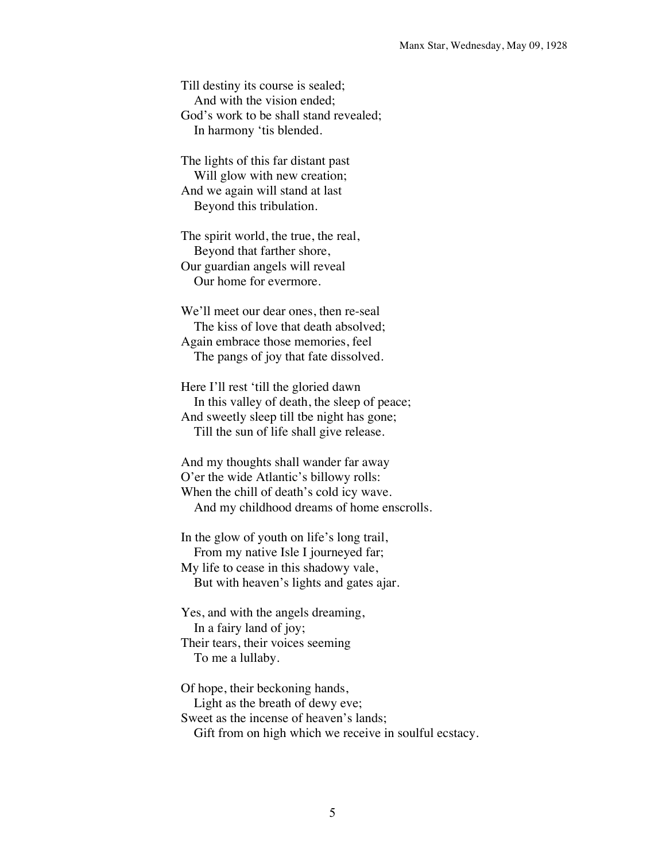Till destiny its course is sealed; And with the vision ended; God's work to be shall stand revealed; In harmony 'tis blended.

The lights of this far distant past Will glow with new creation; And we again will stand at last Beyond this tribulation.

The spirit world, the true, the real, Beyond that farther shore, Our guardian angels will reveal Our home for evermore.

We'll meet our dear ones, then re-seal The kiss of love that death absolved; Again embrace those memories, feel The pangs of joy that fate dissolved.

Here I'll rest 'till the gloried dawn In this valley of death, the sleep of peace; And sweetly sleep till tbe night has gone; Till the sun of life shall give release.

And my thoughts shall wander far away O'er the wide Atlantic's billowy rolls: When the chill of death's cold icy wave. And my childhood dreams of home enscrolls.

In the glow of youth on life's long trail, From my native Isle I journeyed far; My life to cease in this shadowy vale, But with heaven's lights and gates ajar.

Yes, and with the angels dreaming, In a fairy land of joy; Their tears, their voices seeming To me a lullaby.

Of hope, their beckoning hands, Light as the breath of dewy eve; Sweet as the incense of heaven's lands; Gift from on high which we receive in soulful ecstacy.